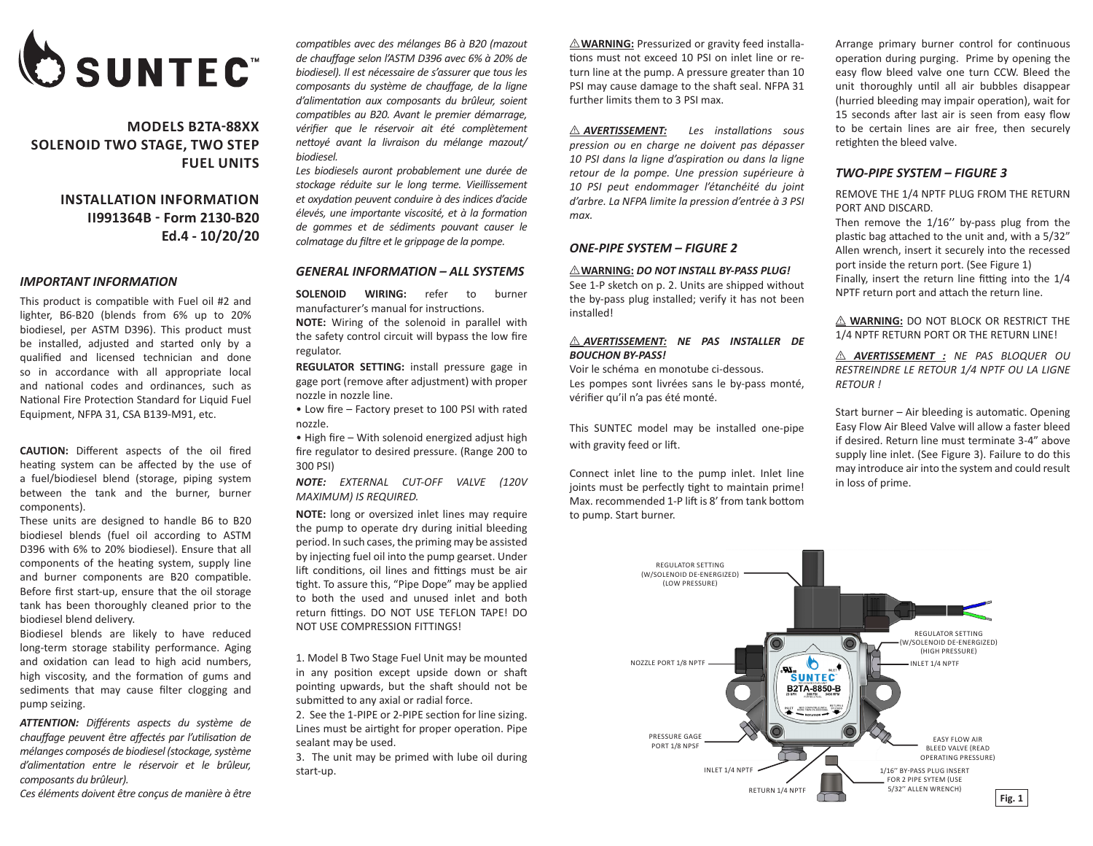

# **MODELS B2TA-88XX SOLENOID TWO STAGE, TWO STEP FUEL UNITS**

**INSTALLATION INFORMATION II991364B - Form 2130-B20 Ed.4 - 10/20/20**

#### *IMPORTANT INFORMATION*

This product is compatible with Fuel oil #2 and lighter, B6-B20 (blends from 6% up to 20% biodiesel, per ASTM D396). This product must be installed, adjusted and started only by a qualified and licensed technician and done so in accordance with all appropriate local and national codes and ordinances, such as National Fire Protection Standard for Liquid Fuel Equipment, NFPA 31, CSA B139-M91, etc.

**CAUTION:** Different aspects of the oil fired heating system can be affected by the use of a fuel/biodiesel blend (storage, piping system between the tank and the burner, burner components).

These units are designed to handle B6 to B20 biodiesel blends (fuel oil according to ASTM D396 with 6% to 20% biodiesel). Ensure that all components of the heating system, supply line and burner components are B20 compatible. Before first start-up, ensure that the oil storage tank has been thoroughly cleaned prior to the biodiesel blend delivery.

Biodiesel blends are likely to have reduced long-term storage stability performance. Aging and oxidation can lead to high acid numbers, high viscosity, and the formation of gums and sediments that may cause filter clogging and pump seizing.

*ATTENTION: Différents aspects du système de chauffage peuvent être affectés par l'utilisation de mélanges composés de biodiesel (stockage, système d'alimentation entre le réservoir et le brûleur, composants du brûleur).*

*Ces éléments doivent être conçus de manière à être* 

*compatibles avec des mélanges B6 à B20 (mazout de chauffage selon l'ASTM D396 avec 6% à 20% de biodiesel). Il est nécessaire de s'assurer que tous les composants du système de chauffage, de la ligne d'alimentation aux composants du brûleur, soient compatibles au B20. Avant le premier démarrage, vérifier que le réservoir ait été complètement nettoyé avant la livraison du mélange mazout/ biodiesel.*

*Les biodiesels auront probablement une durée de stockage réduite sur le long terme. Vieillissement et oxydation peuvent conduire à des indices d'acide élevés, une importante viscosité, et à la formation de gommes et de sédiments pouvant causer le colmatage du filtre et le grippage de la pompe.*

#### *GENERAL INFORMATION – ALL SYSTEMS*

**SOLENOID WIRING:** refer to burner manufacturer's manual for instructions.

**NOTE:** Wiring of the solenoid in parallel with the safety control circuit will bypass the low fire regulator.

**REGULATOR SETTING:** install pressure gage in gage port (remove after adjustment) with proper nozzle in nozzle line.

• Low fire – Factory preset to 100 PSI with rated nozzle.

• High fire – With solenoid energized adjust high fire regulator to desired pressure. (Range 200 to 300 PSI)

*NOTE: EXTERNAL CUT-OFF VALVE (120V MAXIMUM) IS REQUIRED.*

**NOTE:** long or oversized inlet lines may require the pump to operate dry during initial bleeding period. In such cases, the priming may be assisted by injecting fuel oil into the pump gearset. Under lift conditions, oil lines and fittings must be air tight. To assure this, "Pipe Dope" may be applied to both the used and unused inlet and both return fittings. DO NOT USE TEFLON TAPE! DO NOT USE COMPRESSION FITTINGS!

1. Model B Two Stage Fuel Unit may be mounted in any position except upside down or shaft pointing upwards, but the shaft should not be submitted to any axial or radial force.

2. See the 1-PIPE or 2-PIPE section for line sizing. Lines must be airtight for proper operation. Pipe sealant may be used.

3. The unit may be primed with lube oil during start-up.

 $\triangle$  **WARNING:** Pressurized or gravity feed installations must not exceed 10 PSI on inlet line or return line at the pump. A pressure greater than 10 PSI may cause damage to the shaft seal. NFPA 31 further limits them to 3 PSI max.

I *AVERTISSEMENT: Les installations sous pression ou en charge ne doivent pas dépasser 10 PSI dans la ligne d'aspiration ou dans la ligne retour de la pompe. Une pression supérieure à 10 PSI peut endommager l'étanchéité du joint d'arbre. La NFPA limite la pression d'entrée à 3 PSI max.* 

# *ONE-PIPE SYSTEM – FIGURE 2*

#### I **WARNING:** *DO NOT INSTALL BY-PASS PLUG!*

See 1-P sketch on p. 2. Units are shipped without the by-pass plug installed; verify it has not been installed!

## I *AVERTISSEMENT: NE PAS INSTALLER DE BOUCHON BY-PASS!*

Voir le schéma en monotube ci-dessous. Les pompes sont livrées sans le by-pass monté, vérifier qu'il n'a pas été monté.

This SUNTEC model may be installed one-pipe with gravity feed or lift.

Connect inlet line to the pump inlet. Inlet line joints must be perfectly tight to maintain prime! Max. recommended 1-P lift is 8' from tank bottom to pump. Start burner.

Arrange primary burner control for continuous operation during purging. Prime by opening the easy flow bleed valve one turn CCW. Bleed the unit thoroughly until all air bubbles disappear (hurried bleeding may impair operation), wait for 15 seconds after last air is seen from easy flow to be certain lines are air free, then securely retighten the bleed valve.

# *TWO-PIPE SYSTEM – FIGURE 3*

REMOVE THE 1/4 NPTF PLUG FROM THE RETURN PORT AND DISCARD.

Then remove the 1/16'' by-pass plug from the plastic bag attached to the unit and, with a 5/32" Allen wrench, insert it securely into the recessed port inside the return port. (See Figure 1) Finally, insert the return line fitting into the 1/4 NPTF return port and attach the return line.

 $\triangle$  **WARNING:** DO NOT BLOCK OR RESTRICT THE 1/4 NPTF RETURN PORT OR THE RETURN LINE!

I *AVERTISSEMENT : NE PAS BLOQUER OU RESTREINDRE LE RETOUR 1/4 NPTF OU LA LIGNE RETOUR !*

Start burner – Air bleeding is automatic. Opening Easy Flow Air Bleed Valve will allow a faster bleed if desired. Return line must terminate 3-4" above supply line inlet. (See Figure 3). Failure to do this may introduce air into the system and could result in loss of prime.